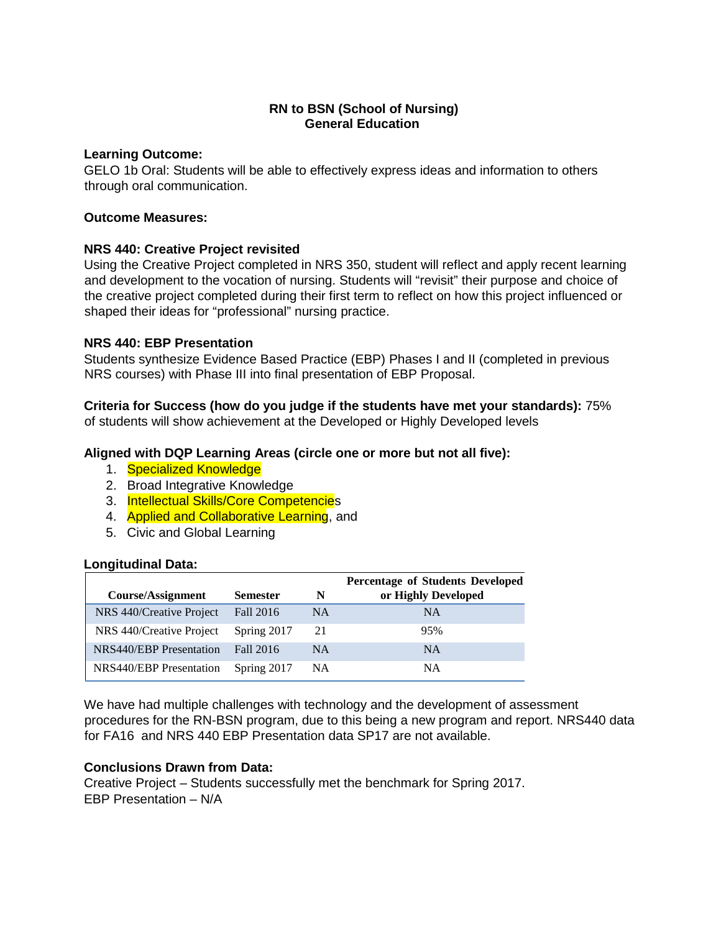## **RN to BSN (School of Nursing) General Education**

#### **Learning Outcome:**

GELO 1b Oral: Students will be able to effectively express ideas and information to others through oral communication.

### **Outcome Measures:**

## **NRS 440: Creative Project revisited**

Using the Creative Project completed in NRS 350, student will reflect and apply recent learning and development to the vocation of nursing. Students will "revisit" their purpose and choice of the creative project completed during their first term to reflect on how this project influenced or shaped their ideas for "professional" nursing practice.

#### **NRS 440: EBP Presentation**

Students synthesize Evidence Based Practice (EBP) Phases I and II (completed in previous NRS courses) with Phase III into final presentation of EBP Proposal.

#### **Criteria for Success (how do you judge if the students have met your standards):** 75% of students will show achievement at the Developed or Highly Developed levels

## **Aligned with DQP Learning Areas (circle one or more but not all five):**

- 1. Specialized Knowledge
- 2. Broad Integrative Knowledge
- 3. Intellectual Skills/Core Competencies
- 4. Applied and Collaborative Learning, and
- 5. Civic and Global Learning

#### **Longitudinal Data:**

|                                |                 |           | <b>Percentage of Students Developed</b> |
|--------------------------------|-----------------|-----------|-----------------------------------------|
| Course/Assignment              | <b>Semester</b> | N         | or Highly Developed                     |
| NRS 440/Creative Project       | Fall 2016       | <b>NA</b> | <b>NA</b>                               |
| NRS 440/Creative Project       | Spring 2017     | 21        | 95%                                     |
| <b>NRS440/EBP</b> Presentation | Fall 2016       | <b>NA</b> | NA                                      |
| NRS440/EBP Presentation        | Spring 2017     | NA        | NA                                      |

We have had multiple challenges with technology and the development of assessment procedures for the RN-BSN program, due to this being a new program and report. NRS440 data for FA16 and NRS 440 EBP Presentation data SP17 are not available.

#### **Conclusions Drawn from Data:**

Creative Project – Students successfully met the benchmark for Spring 2017. EBP Presentation – N/A